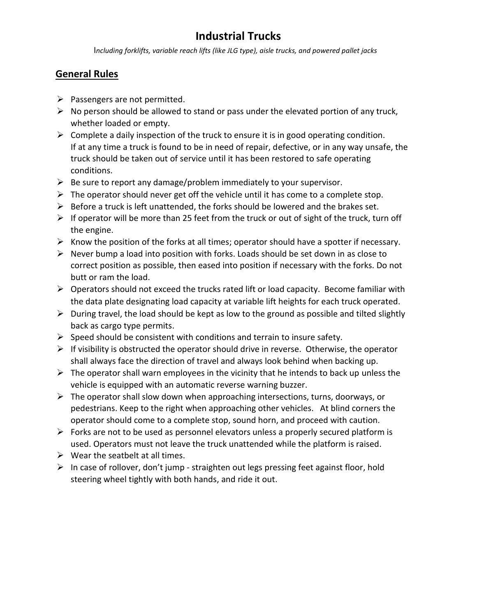# **Industrial Trucks**

I*ncluding forklifts, variable reach lifts (like JLG type), aisle trucks, and powered pallet jacks*

### **General Rules**

- $\triangleright$  Passengers are not permitted.
- $\triangleright$  No person should be allowed to stand or pass under the elevated portion of any truck, whether loaded or empty.
- $\triangleright$  Complete a daily inspection of the truck to ensure it is in good operating condition. If at any time a truck is found to be in need of repair, defective, or in any way unsafe, the truck should be taken out of service until it has been restored to safe operating conditions.
- $\triangleright$  Be sure to report any damage/problem immediately to your supervisor.
- $\triangleright$  The operator should never get off the vehicle until it has come to a complete stop.
- $\triangleright$  Before a truck is left unattended, the forks should be lowered and the brakes set.
- $\triangleright$  If operator will be more than 25 feet from the truck or out of sight of the truck, turn off the engine.
- $\triangleright$  Know the position of the forks at all times; operator should have a spotter if necessary.
- $\triangleright$  Never bump a load into position with forks. Loads should be set down in as close to correct position as possible, then eased into position if necessary with the forks. Do not butt or ram the load.
- $\triangleright$  Operators should not exceed the trucks rated lift or load capacity. Become familiar with the data plate designating load capacity at variable lift heights for each truck operated.
- $\triangleright$  During travel, the load should be kept as low to the ground as possible and tilted slightly back as cargo type permits.
- $\triangleright$  Speed should be consistent with conditions and terrain to insure safety.
- $\triangleright$  If visibility is obstructed the operator should drive in reverse. Otherwise, the operator shall always face the direction of travel and always look behind when backing up.
- $\triangleright$  The operator shall warn employees in the vicinity that he intends to back up unless the vehicle is equipped with an automatic reverse warning buzzer.
- $\triangleright$  The operator shall slow down when approaching intersections, turns, doorways, or pedestrians. Keep to the right when approaching other vehicles. At blind corners the operator should come to a complete stop, sound horn, and proceed with caution.
- $\triangleright$  Forks are not to be used as personnel elevators unless a properly secured platform is used. Operators must not leave the truck unattended while the platform is raised.
- $\triangleright$  Wear the seatbelt at all times.
- ➢ In case of rollover, don't jump straighten out legs pressing feet against floor, hold steering wheel tightly with both hands, and ride it out.